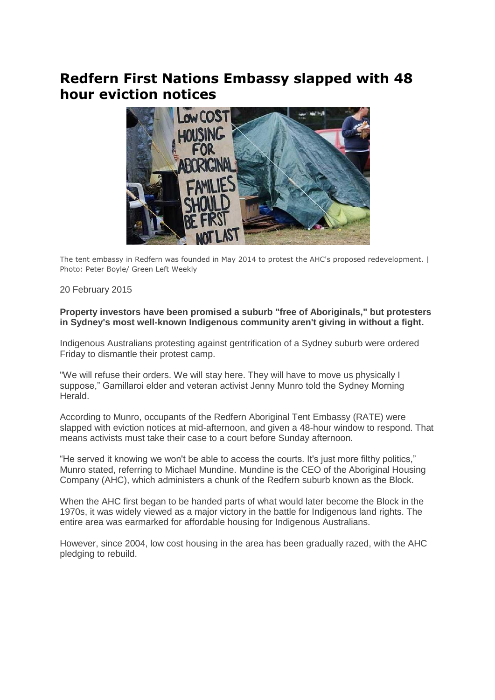## **Redfern First Nations Embassy slapped with 48 hour eviction notices**



The tent embassy in Redfern was founded in May 2014 to protest the AHC's proposed redevelopment. | Photo: Peter Boyle/ Green Left Weekly

## 20 February 2015

## **Property investors have been promised a suburb "free of Aboriginals," but protesters in Sydney's most well-known Indigenous community aren't giving in without a fight.**

Indigenous Australians protesting against gentrification of a Sydney suburb were ordered Friday to dismantle their protest camp.

"We will refuse their orders. We will stay here. They will have to move us physically I suppose," Gamillaroi elder and veteran activist Jenny Munro told the Sydney Morning Herald.

According to Munro, occupants of the Redfern Aboriginal Tent Embassy (RATE) were slapped with eviction notices at mid-afternoon, and given a 48-hour window to respond. That means activists must take their case to a court before Sunday afternoon.

"He served it knowing we won't be able to access the courts. It's just more filthy politics," Munro stated, referring to Michael Mundine. Mundine is the CEO of the Aboriginal Housing Company (AHC), which administers a chunk of the Redfern suburb known as the Block.

When the AHC first began to be handed parts of what would later become the Block in the 1970s, it was widely viewed as a major victory in the battle for Indigenous land rights. The entire area was earmarked for affordable housing for Indigenous Australians.

However, since 2004, low cost housing in the area has been gradually razed, with the AHC pledging to rebuild.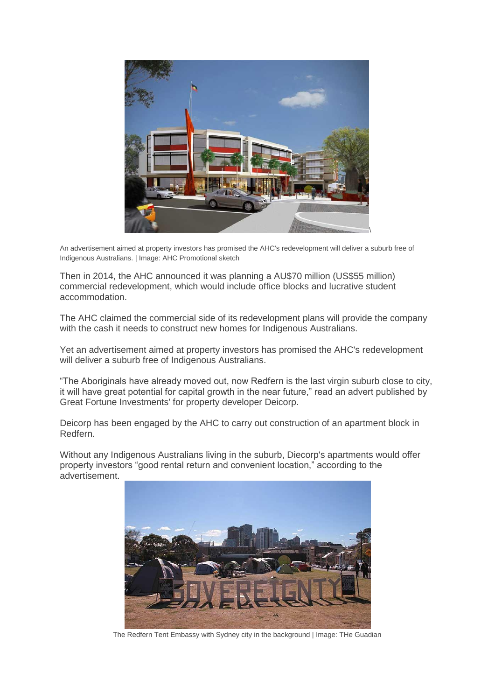

An advertisement aimed at property investors has promised the AHC's redevelopment will deliver a suburb free of Indigenous Australians. | Image: AHC Promotional sketch

Then in 2014, the AHC announced it was planning a AU\$70 million (US\$55 million) commercial redevelopment, which would include office blocks and lucrative student accommodation.

The AHC claimed the commercial side of its redevelopment plans will provide the company with the cash it needs to construct new homes for Indigenous Australians.

Yet an advertisement aimed at property investors has promised the AHC's redevelopment will deliver a suburb free of Indigenous Australians.

"The Aboriginals have already moved out, now Redfern is the last virgin suburb close to city, it will have great potential for capital growth in the near future," read an advert published by Great Fortune Investments' for property developer Deicorp.

Deicorp has been engaged by the AHC to carry out construction of an apartment block in Redfern.

Without any Indigenous Australians living in the suburb, Diecorp's apartments would offer property investors "good rental return and convenient location," according to the advertisement.



The Redfern Tent Embassy with Sydney city in the background | Image: THe Guadian